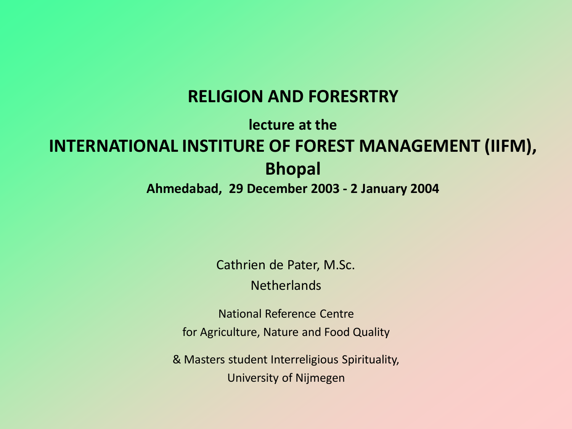#### **RELIGION AND FORESRTRY**

#### **lecture at the INTERNATIONAL INSTITURE OF FOREST MANAGEMENT (IIFM), Bhopal**

#### **Ahmedabad, 29 December 2003 - 2 January 2004**

Cathrien de Pater, M.Sc.

**Netherlands** 

National Reference Centre for Agriculture, Nature and Food Quality

& Masters student Interreligious Spirituality, University of Nijmegen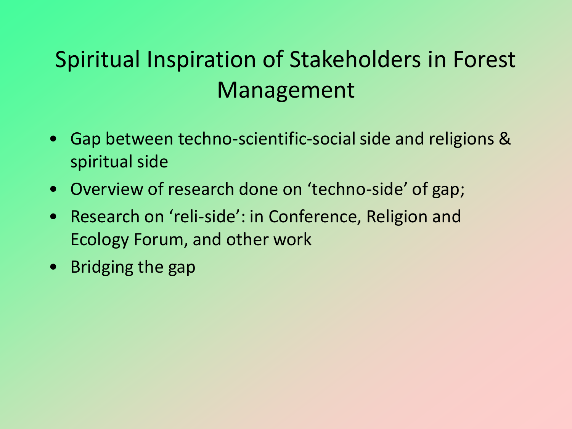### Spiritual Inspiration of Stakeholders in Forest Management

- Gap between techno-scientific-social side and religions & spiritual side
- Overview of research done on 'techno-side' of gap;
- Research on 'reli-side': in Conference, Religion and Ecology Forum, and other work
- Bridging the gap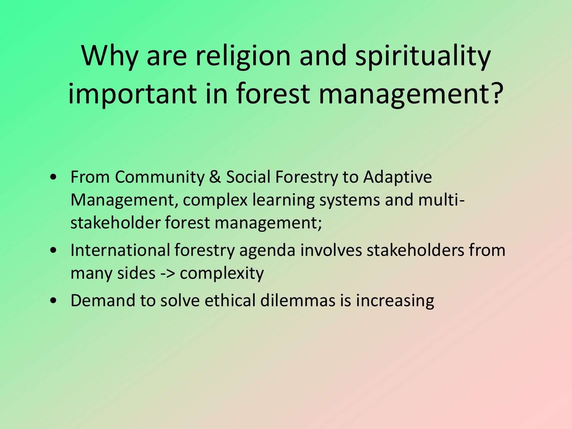Why are religion and spirituality important in forest management?

- From Community & Social Forestry to Adaptive Management, complex learning systems and multistakeholder forest management;
- International forestry agenda involves stakeholders from many sides -> complexity
- Demand to solve ethical dilemmas is increasing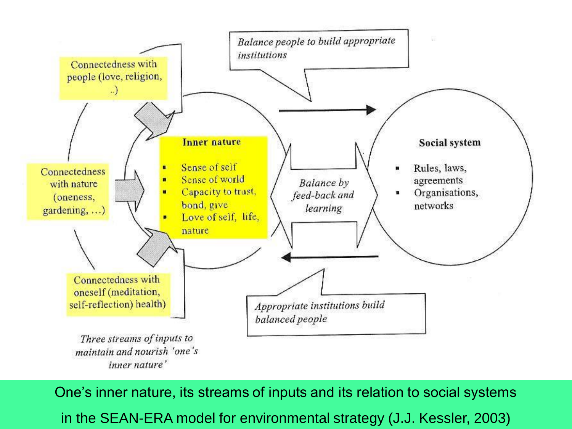

One's inner nature, its streams of inputs and its relation to social systems in the SEAN-ERA model for environmental strategy (J.J. Kessler, 2003)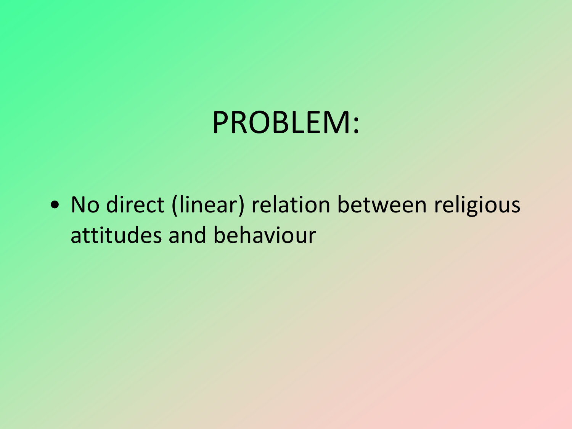## PROBLEM:

• No direct (linear) relation between religious attitudes and behaviour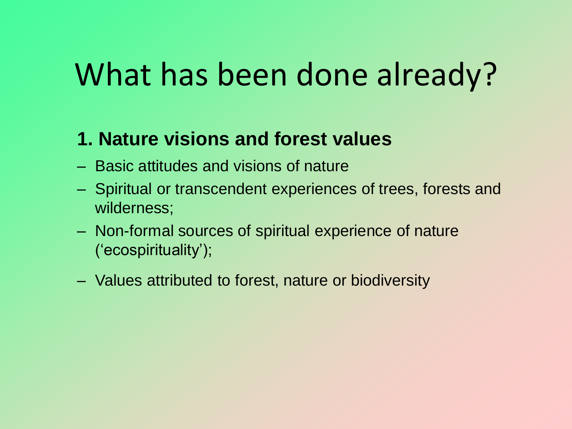# What has been done already?

### **1. Nature visions and forest values**

- Basic attitudes and visions of nature
- Spiritual or transcendent experiences of trees, forests and wilderness;
- Non-formal sources of spiritual experience of nature ('ecospirituality');
- Values attributed to forest, nature or biodiversity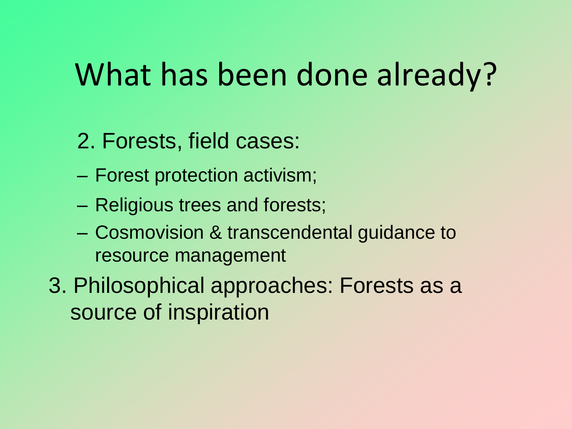# What has been done already?

- 2. Forests, field cases:
- Forest protection activism;
- Religious trees and forests;
- Cosmovision & transcendental guidance to resource management
- 3. Philosophical approaches: Forests as a source of inspiration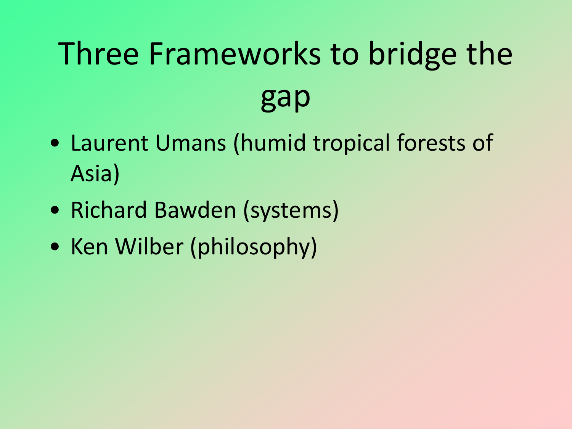# Three Frameworks to bridge the gap

- Laurent Umans (humid tropical forests of Asia)
- Richard Bawden (systems)
- Ken Wilber (philosophy)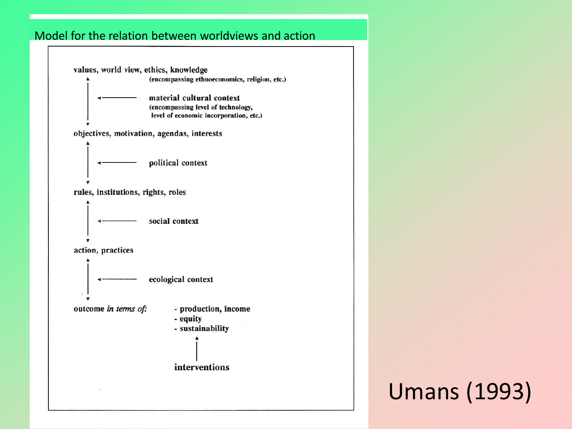#### Model for the relation between worldviews and action



### Umans (1993)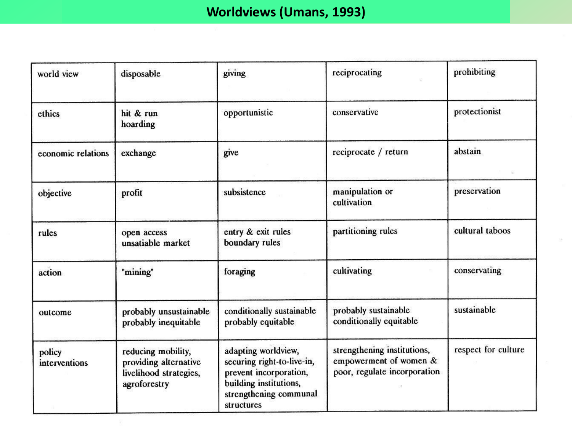#### **Worldviews (Umans, 1993)**

| world view              | disposable                                                                            | giving                                                                                                                                        | reciprocating                                                                         | prohibiting         |
|-------------------------|---------------------------------------------------------------------------------------|-----------------------------------------------------------------------------------------------------------------------------------------------|---------------------------------------------------------------------------------------|---------------------|
| ethics                  | hit & run<br>hoarding                                                                 | opportunistic                                                                                                                                 | conservative                                                                          | protectionist       |
| economic relations      | exchange                                                                              | give                                                                                                                                          | reciprocate / return                                                                  | abstain             |
| objective               | profit                                                                                | subsistence                                                                                                                                   | manipulation or<br>cultivation                                                        | preservation        |
| rules                   | open access<br>unsatiable market                                                      | entry & exit rules<br>boundary rules                                                                                                          | partitioning rules                                                                    | cultural taboos     |
| action                  | "mining"                                                                              | foraging                                                                                                                                      | cultivating                                                                           | conservating        |
| outcome                 | probably unsustainable<br>probably inequitable                                        | conditionally sustainable<br>probably equitable                                                                                               | probably sustainable<br>conditionally equitable                                       | sustainable         |
| policy<br>interventions | reducing mobility,<br>providing alternative<br>livelihood strategies,<br>agroforestry | adapting worldview,<br>securing right-to-live-in,<br>prevent incorporation,<br>building institutions,<br>strengthening communal<br>structures | strengthening institutions,<br>empowerment of women &<br>poor, regulate incorporation | respect for culture |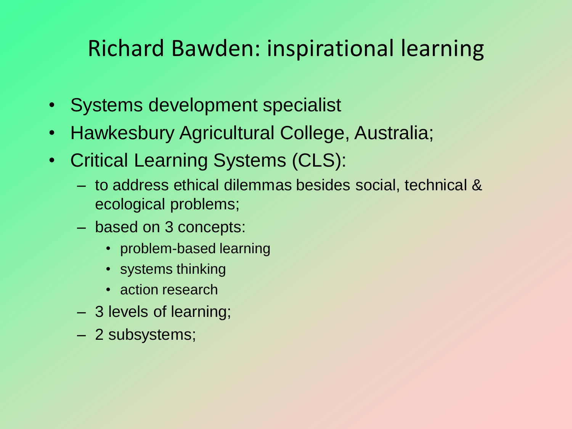### Richard Bawden: inspirational learning

- Systems development specialist
- Hawkesbury Agricultural College, Australia;
- Critical Learning Systems (CLS):
	- to address ethical dilemmas besides social, technical & ecological problems;
	- based on 3 concepts:
		- problem-based learning
		- systems thinking
		- action research
	- 3 levels of learning;
	- 2 subsystems;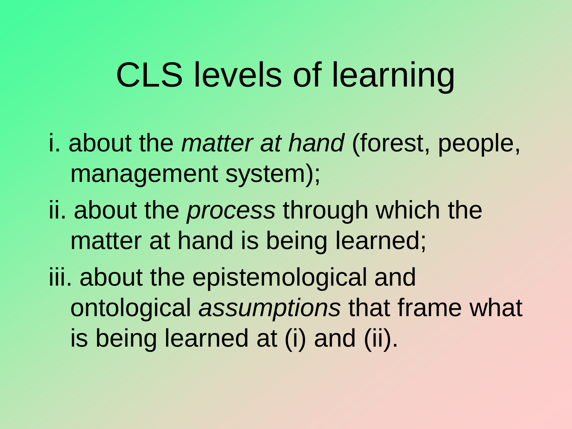# CLS levels of learning

- i. about the *matter at hand* (forest, people, management system);
- ii. about the *process* through which the matter at hand is being learned;
- iii. about the epistemological and ontological *assumptions* that frame what is being learned at (i) and (ii).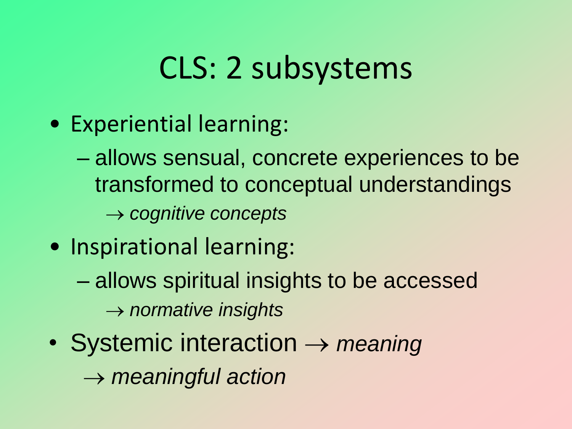# CLS: 2 subsystems

• Experiential learning:

– allows sensual, concrete experiences to be transformed to conceptual understandings → *cognitive concepts*

- Inspirational learning:
	- allows spiritual insights to be accessed → *normative insights*
- Systemic interaction → *meaning* → *meaningful action*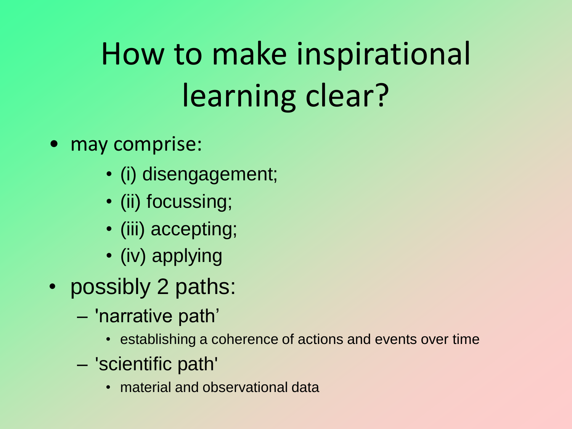# How to make inspirational learning clear?

- may comprise:
	- (i) disengagement;
	- (ii) focussing;
	- (iii) accepting;
	- (iv) applying
- possibly 2 paths:
	- 'narrative path'
		- establishing a coherence of actions and events over time
	- 'scientific path'
		- material and observational data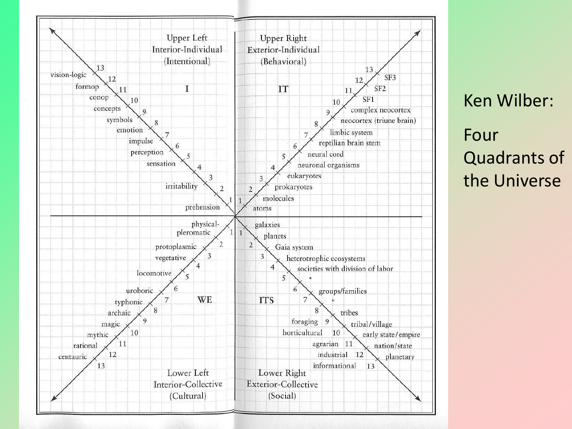

Ken Wilber: Four Quadrants of the Universe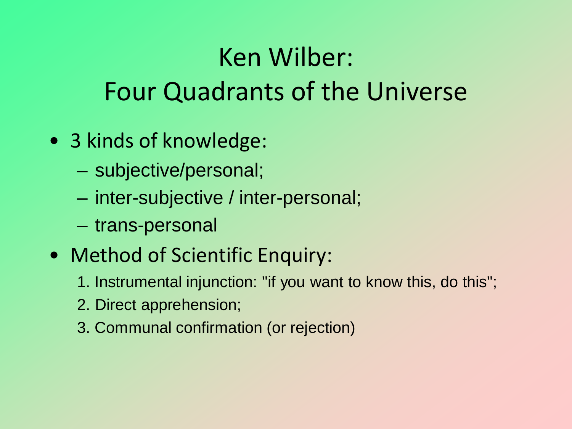## Ken Wilber: Four Quadrants of the Universe

- 3 kinds of knowledge:
	- subjective/personal;
	- inter-subjective / inter-personal;
	- trans-personal
- Method of Scientific Enquiry:
	- 1. Instrumental injunction: "if you want to know this, do this";
	- 2. Direct apprehension;
	- 3. Communal confirmation (or rejection)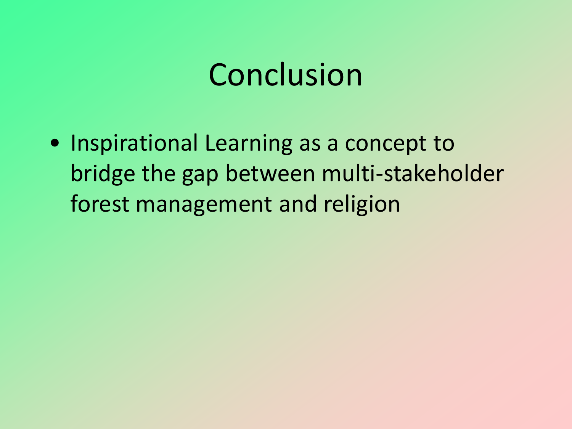## Conclusion

• Inspirational Learning as a concept to bridge the gap between multi-stakeholder forest management and religion